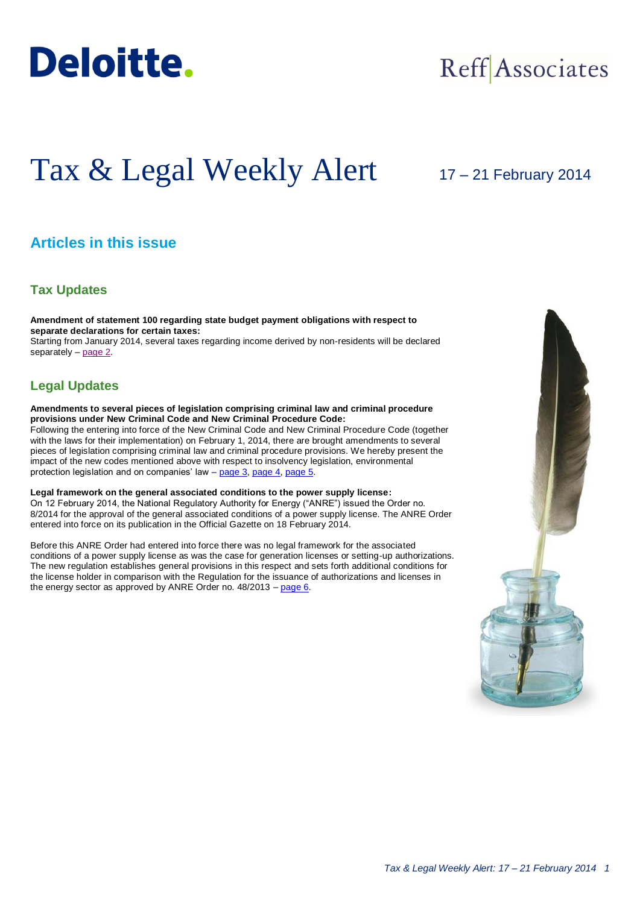

## Reff Associates

# Tax & Legal Weekly Alert

## 17 – 21 February 2014

## **Articles in this issue**

### **Tax Updates**

**Amendment of statement 100 regarding state budget payment obligations with respect to separate declarations for certain taxes:** Starting from January 2014, several taxes regarding income derived by non-residents will be declared separately – [page 2.](#page-1-0)

## **Legal Updates**

**Amendments to several pieces of legislation comprising criminal law and criminal procedure provisions under New Criminal Code and New Criminal Procedure Code:**

Following the entering into force of the New Criminal Code and New Criminal Procedure Code (together with the laws for their implementation) on February 1, 2014, there are brought amendments to several pieces of legislation comprising criminal law and criminal procedure provisions. We hereby present the impact of the new codes mentioned above with respect to insolvency legislation, environmental protection legislation and on companies' law – [page 3,](#page-2-0) [page 4,](#page-3-0) [page 5.](#page-4-0)

**Legal framework on the general associated conditions to the power supply license:** On 12 February 2014, the National Regulatory Authority for Energy ("ANRE") issued the Order no. 8/2014 for the approval of the general associated conditions of a power supply license. The ANRE Order entered into force on its publication in the Official Gazette on 18 February 2014.

Before this ANRE Order had entered into force there was no legal framework for the associated conditions of a power supply license as was the case for generation licenses or setting-up authorizations. The new regulation establishes general provisions in this respect and sets forth additional conditions for the license holder in comparison with the Regulation for the issuance of authorizations and licenses in the energy sector as approved by ANRE Order no. 48/2013 – [page 6.](#page-5-0)

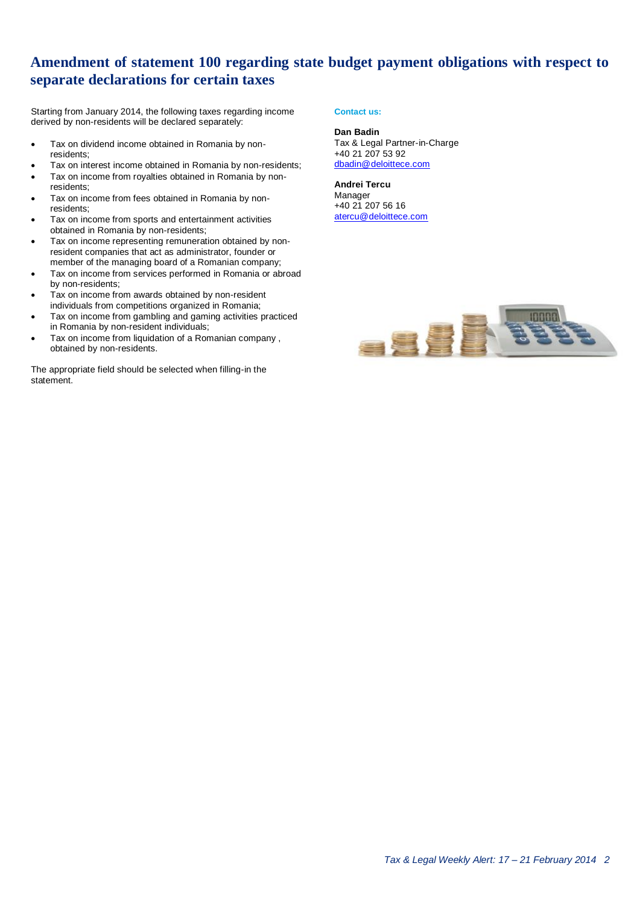## <span id="page-1-0"></span>**Amendment of statement 100 regarding state budget payment obligations with respect to separate declarations for certain taxes**

Starting from January 2014, the following taxes regarding income derived by non-residents will be declared separately:

- Tax on dividend income obtained in Romania by nonresidents;
- Tax on interest income obtained in Romania by non-residents;
- Tax on income from royalties obtained in Romania by nonresidents;
- Tax on income from fees obtained in Romania by nonresidents;
- Tax on income from sports and entertainment activities obtained in Romania by non-residents;
- Tax on income representing remuneration obtained by nonresident companies that act as administrator, founder or member of the managing board of a Romanian company;
- Tax on income from services performed in Romania or abroad by non-residents;
- Tax on income from awards obtained by non-resident individuals from competitions organized in Romania;
- Tax on income from gambling and gaming activities practiced in Romania by non-resident individuals;
- Tax on income from liquidation of a Romanian company , obtained by non-residents.

The appropriate field should be selected when filling-in the statement.

#### **Contact us:**

#### **Dan Badin**

Tax & Legal Partner-in-Charge +40 21 207 53 92 [dbadin@deloittece.com](mailto:dbadin@deloittece.com)

**Andrei Tercu** Manager +40 21 207 56 16 [atercu@deloittece.com](mailto:atercu@deloittece.com)

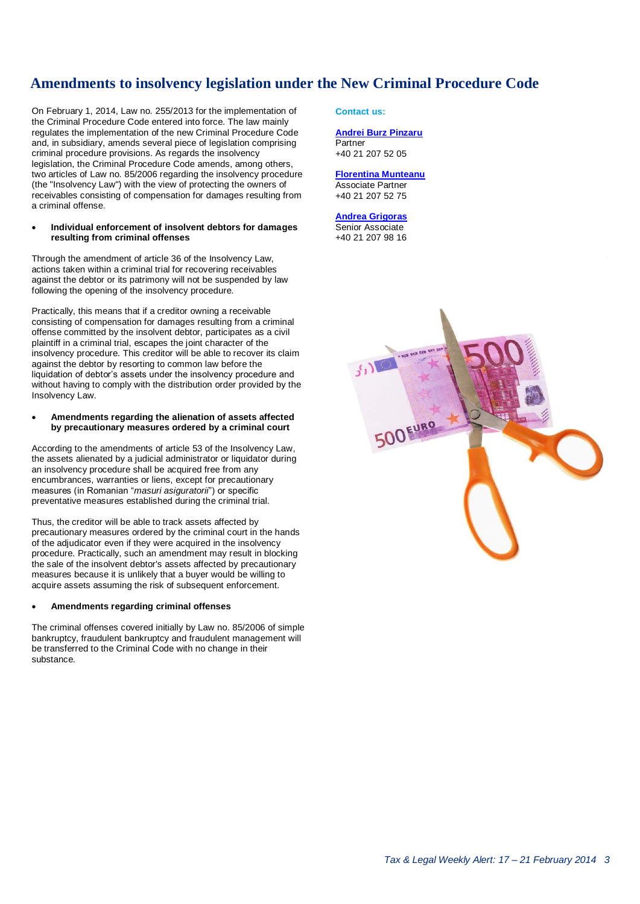## **Amendments to insolvency legislation under the New Criminal Procedure Code**

On February 1, 2014, Law no. 255/2013 for the implementation of the Criminal Procedure Code entered into force. The law mainly regulates the implementation of the new Criminal Procedure Code and, in subsidiary, amends several piece of legislation comprising criminal procedure provisions. As regards the insolvency legislation, the Criminal Procedure Code amends, among others, two articles of Law no. 85/2006 regarding the insolvency procedure (the "Insolvency Law") with the view of protecting the owners of receivables consisting of compensation for damages resulting from a criminal offense.

#### **Individual enforcement of insolvent debtors for damages resulting from criminal offenses**

Through the amendment of article 36 of the Insolvency Law, actions taken within a criminal trial for recovering receivables against the debtor or its patrimony will not be suspended by law following the opening of the insolvency procedure.

Practically, this means that if a creditor owning a receivable consisting of compensation for damages resulting from a criminal offense committed by the insolvent debtor, participates as a civil plaintiff in a criminal trial, escapes the joint character of the insolvency procedure. This creditor will be able to recover its claim against the debtor by resorting to common law before the liquidation of debtor's assets under the insolvency procedure and without having to comply with the distribution order provided by the Insolvency Law.

#### **Amendments regarding the alienation of assets affected by precautionary measures ordered by a criminal court**

According to the amendments of article 53 of the Insolvency Law, the assets alienated by a judicial administrator or liquidator during an insolvency procedure shall be acquired free from any encumbrances, warranties or liens, except for precautionary measures (in Romanian "*masuri asiguratorii*") or specific preventative measures established during the criminal trial.

Thus, the creditor will be able to track assets affected by precautionary measures ordered by the criminal court in the hands of the adjudicator even if they were acquired in the insolvency procedure. Practically, such an amendment may result in blocking the sale of the insolvent debtor's assets affected by precautionary measures because it is unlikely that a buyer would be willing to acquire assets assuming the risk of subsequent enforcement.

#### **Amendments regarding criminal offenses**

The criminal offenses covered initially by Law no. 85/2006 of simple bankruptcy, fraudulent bankruptcy and fraudulent management will be transferred to the Criminal Code with no change in their substance.

#### <span id="page-2-0"></span>**Contact us:**

#### **[Andrei Burz Pinzaru](mailto:aburzpinzaru@deloittece.com)** Partner +40 21 207 52 05

#### **[Florentina Munteanu](mailto:fmunteanu@deloittece.com)** Associate Partner

+40 21 207 52 75

**[Andrea Grigoras](mailto:agrigoras@deloittece.com)** Senior Associate +40 21 207 98 16

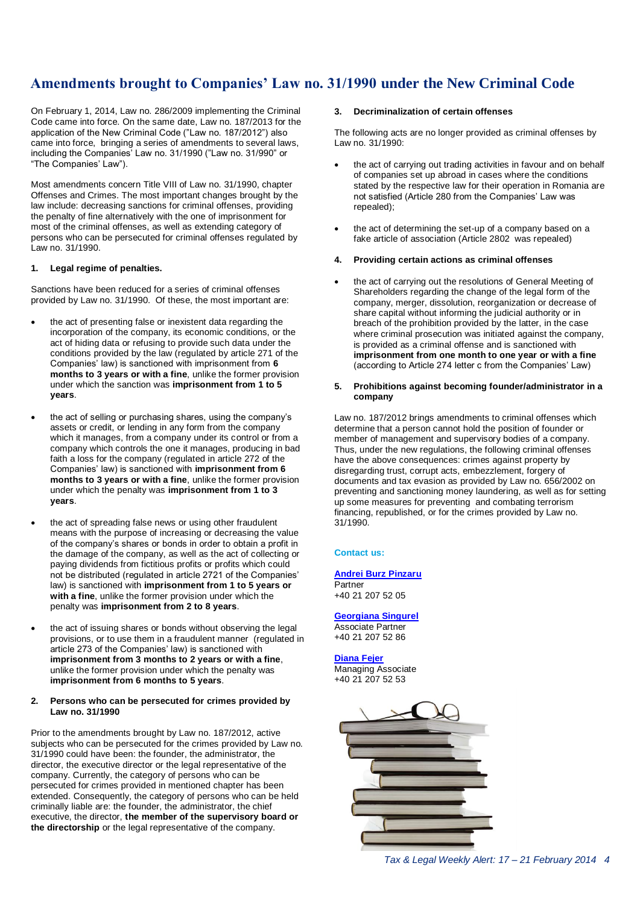## **Amendments brought to Companies' Law no. 31/1990 under the New Criminal Code**

On February 1, 2014, Law no. 286/2009 implementing the Criminal Code came into force. On the same date, Law no. 187/2013 for the application of the New Criminal Code ("Law no. 187/2012") also came into force, bringing a series of amendments to several laws. including the Companies' Law no. 31/1990 ("Law no. 31/990" or "The Companies' Law").

Most amendments concern Title VIII of Law no. 31/1990, chapter Offenses and Crimes. The most important changes brought by the law include: decreasing sanctions for criminal offenses, providing the penalty of fine alternatively with the one of imprisonment for most of the criminal offenses, as well as extending category of persons who can be persecuted for criminal offenses regulated by Law no. 31/1990.

#### **1. Legal regime of penalties.**

Sanctions have been reduced for a series of criminal offenses provided by Law no. 31/1990. Of these, the most important are:

- the act of presenting false or inexistent data regarding the incorporation of the company, its economic conditions, or the act of hiding data or refusing to provide such data under the conditions provided by the law (regulated by article 271 of the Companies' law) is sanctioned with imprisonment from **6 months to 3 years or with a fine**, unlike the former provision under which the sanction was **imprisonment from 1 to 5 years**.
- the act of selling or purchasing shares, using the company's assets or credit, or lending in any form from the company which it manages, from a company under its control or from a company which controls the one it manages, producing in bad faith a loss for the company (regulated in article 272 of the Companies' law) is sanctioned with **imprisonment from 6 months to 3 years or with a fine**, unlike the former provision under which the penalty was **imprisonment from 1 to 3 years**.
- the act of spreading false news or using other fraudulent means with the purpose of increasing or decreasing the value of the company's shares or bonds in order to obtain a profit in the damage of the company, as well as the act of collecting or paying dividends from fictitious profits or profits which could not be distributed (regulated in article 2721 of the Companies' law) is sanctioned with **imprisonment from 1 to 5 years or with a fine**, unlike the former provision under which the penalty was **imprisonment from 2 to 8 years**.
- the act of issuing shares or bonds without observing the legal provisions, or to use them in a fraudulent manner (regulated in article 273 of the Companies' law) is sanctioned with **imprisonment from 3 months to 2 years or with a fine**, unlike the former provision under which the penalty was **imprisonment from 6 months to 5 years**.

#### **2. Persons who can be persecuted for crimes provided by Law no. 31/1990**

Prior to the amendments brought by Law no. 187/2012, active subjects who can be persecuted for the crimes provided by Law no. 31/1990 could have been: the founder, the administrator, the director, the executive director or the legal representative of the company. Currently, the category of persons who can be persecuted for crimes provided in mentioned chapter has been extended. Consequently, the category of persons who can be held criminally liable are: the founder, the administrator, the chief executive, the director, **the member of the supervisory board or the directorship** or the legal representative of the company.

#### <span id="page-3-0"></span>**3. Decriminalization of certain offenses**

The following acts are no longer provided as criminal offenses by Law no. 31/1990:

- the act of carrying out trading activities in favour and on behalf of companies set up abroad in cases where the conditions stated by the respective law for their operation in Romania are not satisfied (Article 280 from the Companies' Law was repealed);
- the act of determining the set-up of a company based on a fake article of association (Article 2802 was repealed)
- **4. Providing certain actions as criminal offenses**
- the act of carrying out the resolutions of General Meeting of Shareholders regarding the change of the legal form of the company, merger, dissolution, reorganization or decrease of share capital without informing the judicial authority or in breach of the prohibition provided by the latter, in the case where criminal prosecution was initiated against the company, is provided as a criminal offense and is sanctioned with **imprisonment from one month to one year or with a fine** (according to Article 274 letter c from the Companies' Law)
- **5. Prohibitions against becoming founder/administrator in a company**

Law no. 187/2012 brings amendments to criminal offenses which determine that a person cannot hold the position of founder or member of management and supervisory bodies of a company. Thus, under the new regulations, the following criminal offenses have the above consequences: crimes against property by disregarding trust, corrupt acts, embezzlement, forgery of documents and tax evasion as provided by Law no. 656/2002 on preventing and sanctioning money laundering, as well as for setting up some measures for preventing and combating terrorism financing, republished, or for the crimes provided by Law no. 31/1990.

#### **Contact us:**

#### **[Andrei Burz Pinzaru](mailto:aburzpinzaru@deloittece.com)**

**Partner** +40 21 207 52 05

#### **[Georgiana Singurel](mailto:gsingurel@deloitteCE.com)**

Associate Partner +40 21 207 52 86

#### **[Diana Fejer](mailto:dfejer@deloittece.com)**

Managing Associate +40 21 207 52 53

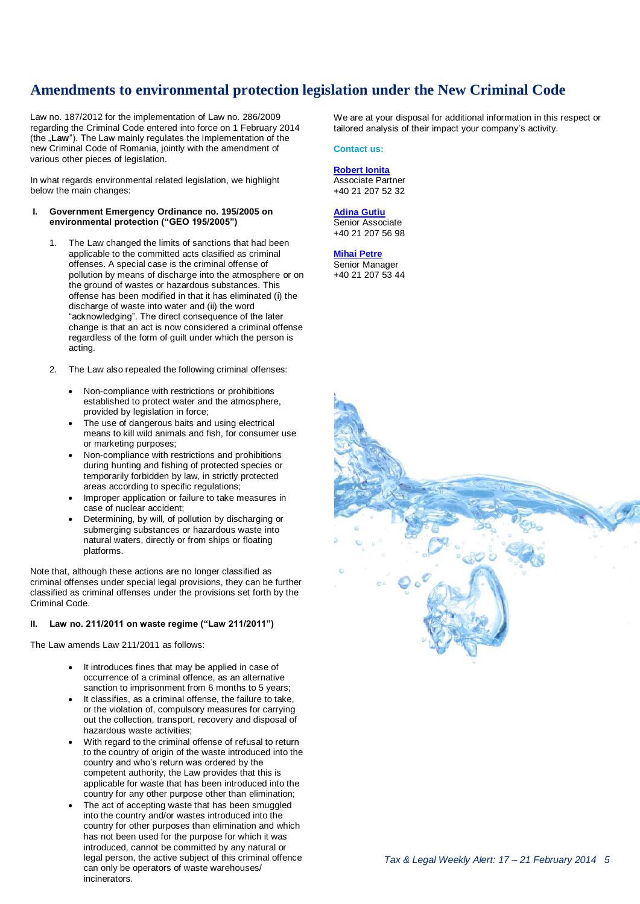## **Amendments to environmental protection legislation under the New Criminal Code**

Law no. 187/2012 for the implementation of Law no. 286/2009 regarding the Criminal Code entered into force on 1 February 2014 (the **Law**"). The Law mainly regulates the implementation of the new Criminal Code of Romania, jointly with the amendment of various other pieces of legislation.

In what regards environmental related legislation, we highlight below the main changes:

#### **I. Government Emergency Ordinance no. 195/2005 on environmental protection ("GEO 195/2005")**

- 1. The Law changed the limits of sanctions that had been applicable to the committed acts clasified as criminal offenses. A special case is the criminal offense of pollution by means of discharge into the atmosphere or on the ground of wastes or hazardous substances. This offense has been modified in that it has eliminated (i) the discharge of waste into water and (ii) the word "acknowledging". The direct consequence of the later change is that an act is now considered a criminal offense regardless of the form of guilt under which the person is acting.
- 2. The Law also repealed the following criminal offenses:
	- Non-compliance with restrictions or prohibitions established to protect water and the atmosphere, provided by legislation in force;
	- The use of dangerous baits and using electrical means to kill wild animals and fish, for consumer use or marketing purposes;
	- Non-compliance with restrictions and prohibitions during hunting and fishing of protected species or temporarily forbidden by law, in strictly protected areas according to specific regulations;
	- Improper application or failure to take measures in case of nuclear accident;
	- Determining, by will, of pollution by discharging or submerging substances or hazardous waste into natural waters, directly or from ships or floating platforms.

Note that, although these actions are no longer classified as criminal offenses under special legal provisions, they can be further classified as criminal offenses under the provisions set forth by the Criminal Code.

#### **II. Law no. 211/2011 on waste regime ("Law 211/2011")**

The Law amends Law 211/2011 as follows:

- It introduces fines that may be applied in case of occurrence of a criminal offence, as an alternative sanction to imprisonment from 6 months to 5 years;
- It classifies, as a criminal offense, the failure to take, or the violation of, compulsory measures for carrying out the collection, transport, recovery and disposal of hazardous waste activities;
- With regard to the criminal offense of refusal to return to the country of origin of the waste introduced into the country and who's return was ordered by the competent authority, the Law provides that this is applicable for waste that has been introduced into the country for any other purpose other than elimination;
- The act of accepting waste that has been smuggled into the country and/or wastes introduced into the country for other purposes than elimination and which has not been used for the purpose for which it was introduced, cannot be committed by any natural or legal person, the active subject of this criminal offence can only be operators of waste warehouses/ incinerators.

<span id="page-4-0"></span>We are at your disposal for additional information in this respect or tailored analysis of their impact your company's activity.

#### **Contact us:**

#### **[Robert Ionita](mailto:rionita@deloittece.com)** Associate Partner

+40 21 207 52 32

#### **[Adina Gutiu](mailto:agutiu@deloittece.com)** Senior Associate

+40 21 207 56 98

#### **[Mihai Petre](mailto:mipetre@deloittece.com)**

Senior Manager +40 21 207 53 44

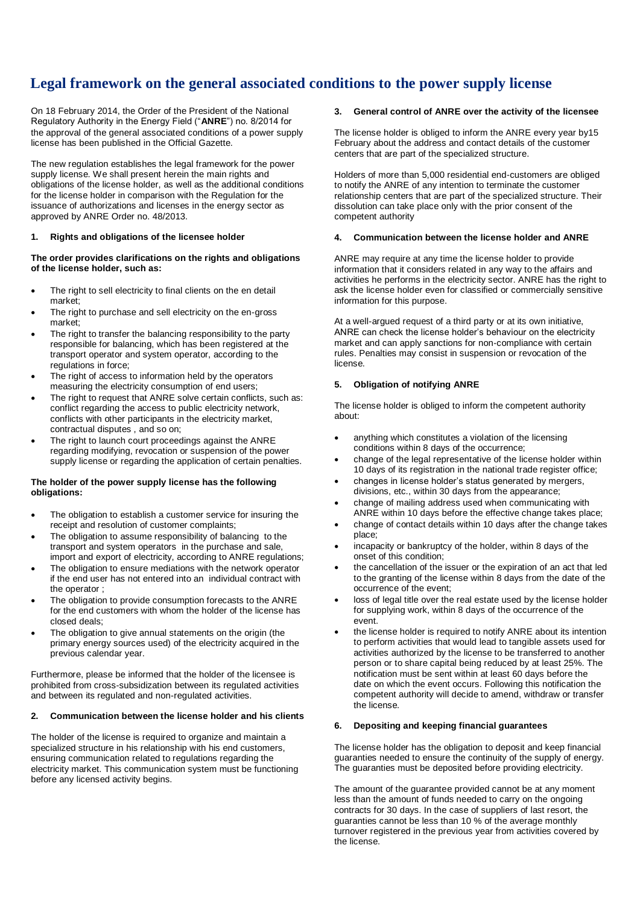## **Legal framework on the general associated conditions to the power supply license**

On 18 February 2014, the Order of the President of the National Regulatory Authority in the Energy Field ("**ANRE**") no. 8/2014 for the approval of the general associated conditions of a power supply license has been published in the Official Gazette.

The new regulation establishes the legal framework for the power supply license. We shall present herein the main rights and obligations of the license holder, as well as the additional conditions for the license holder in comparison with the Regulation for the issuance of authorizations and licenses in the energy sector as approved by ANRE Order no. 48/2013.

#### **1. Rights and obligations of the licensee holder**

#### **The order provides clarifications on the rights and obligations of the license holder, such as:**

- The right to sell electricity to final clients on the en detail market;
- The right to purchase and sell electricity on the en-gross market;
- The right to transfer the balancing responsibility to the party responsible for balancing, which has been registered at the transport operator and system operator, according to the regulations in force;
- The right of access to information held by the operators measuring the electricity consumption of end users;
- The right to request that ANRE solve certain conflicts, such as: conflict regarding the access to public electricity network, conflicts with other participants in the electricity market, contractual disputes , and so on;
- The right to launch court proceedings against the ANRE regarding modifying, revocation or suspension of the power supply license or regarding the application of certain penalties.

#### **The holder of the power supply license has the following obligations:**

- The obligation to establish a customer service for insuring the receipt and resolution of customer complaints;
- The obligation to assume responsibility of balancing to the transport and system operators in the purchase and sale, import and export of electricity, according to ANRE regulations;
- The obligation to ensure mediations with the network operator if the end user has not entered into an individual contract with the operator ;
- The obligation to provide consumption forecasts to the ANRE for the end customers with whom the holder of the license has closed deals;
- The obligation to give annual statements on the origin (the primary energy sources used) of the electricity acquired in the previous calendar year.

Furthermore, please be informed that the holder of the licensee is prohibited from cross-subsidization between its regulated activities and between its regulated and non-regulated activities.

#### **2. Communication between the license holder and his clients**

The holder of the license is required to organize and maintain a specialized structure in his relationship with his end customers, ensuring communication related to regulations regarding the electricity market. This communication system must be functioning before any licensed activity begins.

#### <span id="page-5-0"></span>**3. General control of ANRE over the activity of the licensee**

The license holder is obliged to inform the ANRE every year by15 February about the address and contact details of the customer centers that are part of the specialized structure.

Holders of more than 5,000 residential end-customers are obliged to notify the ANRE of any intention to terminate the customer relationship centers that are part of the specialized structure. Their dissolution can take place only with the prior consent of the competent authority

#### **4. Communication between the license holder and ANRE**

ANRE may require at any time the license holder to provide information that it considers related in any way to the affairs and activities he performs in the electricity sector. ANRE has the right to ask the license holder even for classified or commercially sensitive information for this purpose.

At a well-argued request of a third party or at its own initiative, ANRE can check the license holder's behaviour on the electricity market and can apply sanctions for non-compliance with certain rules. Penalties may consist in suspension or revocation of the license.

#### **5. Obligation of notifying ANRE**

The license holder is obliged to inform the competent authority about:

- anything which constitutes a violation of the licensing conditions within 8 days of the occurrence;
- change of the legal representative of the license holder within 10 days of its registration in the national trade register office;
- changes in license holder's status generated by mergers, divisions, etc., within 30 days from the appearance;
- change of mailing address used when communicating with ANRE within 10 days before the effective change takes place;
- change of contact details within 10 days after the change takes place;
- incapacity or bankruptcy of the holder, within 8 days of the onset of this condition;
- the cancellation of the issuer or the expiration of an act that led to the granting of the license within 8 days from the date of the occurrence of the event;
- loss of legal title over the real estate used by the license holder for supplying work, within 8 days of the occurrence of the event.
- the license holder is required to notify ANRE about its intention to perform activities that would lead to tangible assets used for activities authorized by the license to be transferred to another person or to share capital being reduced by at least 25%. The notification must be sent within at least 60 days before the date on which the event occurs. Following this notification the competent authority will decide to amend, withdraw or transfer the license.

#### **6. Depositing and keeping financial guarantees**

The license holder has the obligation to deposit and keep financial guaranties needed to ensure the continuity of the supply of energy. The guaranties must be deposited before providing electricity.

The amount of the guarantee provided cannot be at any moment less than the amount of funds needed to carry on the ongoing contracts for 30 days. In the case of suppliers of last resort, the guaranties cannot be less than 10 % of the average monthly turnover registered in the previous year from activities covered by the license.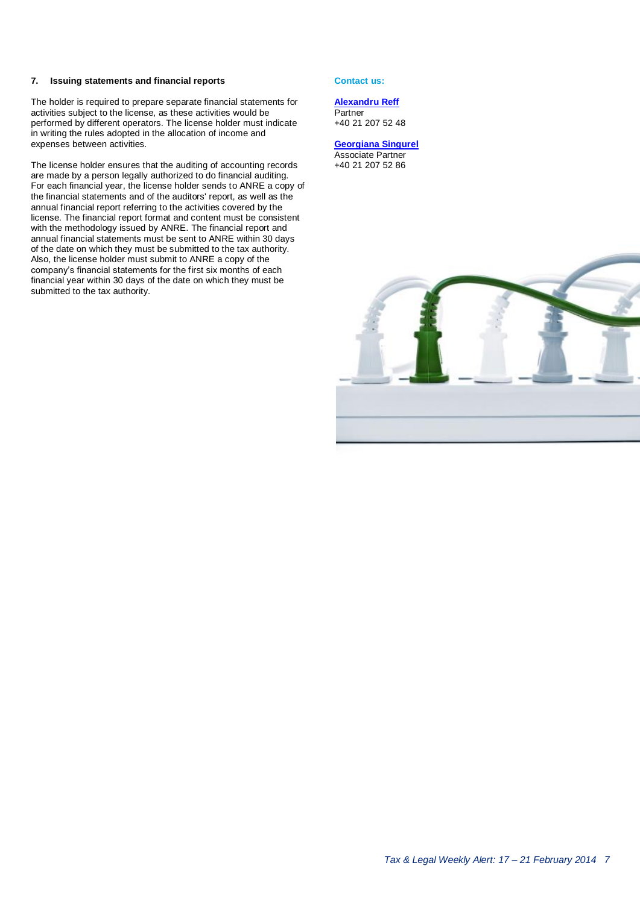#### **7. Issuing statements and financial reports**

The holder is required to prepare separate financial statements for activities subject to the license, as these activities would be performed by different operators. The license holder must indicate in writing the rules adopted in the allocation of income and expenses between activities.

The license holder ensures that the auditing of accounting records are made by a person legally authorized to do financial auditing. For each financial year, the license holder sends to ANRE a copy of the financial statements and of the auditors' report, as well as the annual financial report referring to the activities covered by the license. The financial report format and content must be consistent with the methodology issued by ANRE. The financial report and annual financial statements must be sent to ANRE within 30 days of the date on which they must be submitted to the tax authority. Also, the license holder must submit to ANRE a copy of the company's financial statements for the first six months of each financial year within 30 days of the date on which they must be submitted to the tax authority.

#### **Contact us:**

#### **[Alexandru Reff](mailto:areff@deloitteCE.com)**

**Partner** +40 21 207 52 48

**[Georgiana Singurel](mailto:gsingurel@deloitteCE.com)** Associate Partner +40 21 207 52 86